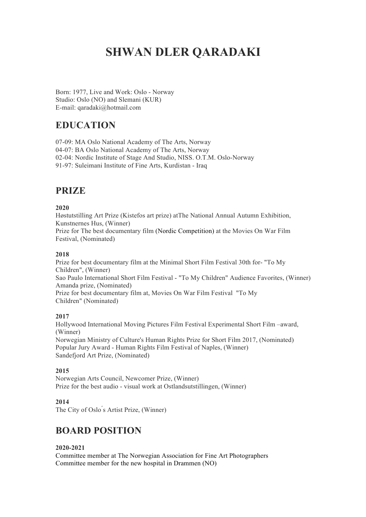# **SHWAN DLER QARADAKI**

Born: 1977, Live and Work: Oslo - Norway Studio: Oslo (NO) and Slemani (KUR) E-mail: qaradaki@hotmail.com

# **EDUCATION**

07-09: MA Oslo National Academy of The Arts, Norway

04-07: BA Oslo National Academy of The Arts, Norway

02-04: Nordic Institute of Stage And Studio, NISS. O.T.M. Oslo-Norway

91-97: Suleimani Institute of Fine Arts, Kurdistan - Iraq

# **PRIZE**

# **2020**

Høstutstilling Art Prize (Kistefos art prize) atThe National Annual Autumn Exhibition, Kunstnernes Hus, (Winner)

Prize for The best documentary film (Nordic Competition) at the Movies On War Film Festival, (Nominated)

# **2018**

Prize for best documentary film at the Minimal Short Film Festival 30th for- "To My Children", (Winner) Sao Paulo International Short Film Festival - "To My Children" Audience Favorites, (Winner) Amanda prize, (Nominated) Prize for best documentary film at, Movies On War Film Festival "To My Children" (Nominated)

# **2017**

Hollywood International Moving Pictures Film Festival Experimental Short Film –award, (Winner) Norwegian Ministry of Culture's Human Rights Prize for Short Film 2017, (Nominated) Popular Jury Award - Human Rights Film Festival of Naples, (Winner) Sandefjord Art Prize, (Nominated)

# **2015**

Norwegian Arts Council, Newcomer Prize, (Winner) Prize for the best audio - visual work at Ostlandsutstillingen, (Winner)

# **2014**

The City of Oslo's Artist Prize, (Winner)

# **BOARD POSITION**

# **2020-2021**

Committee member at The Norwegian Association for Fine Art Photographers Committee member for the new hospital in Drammen (NO)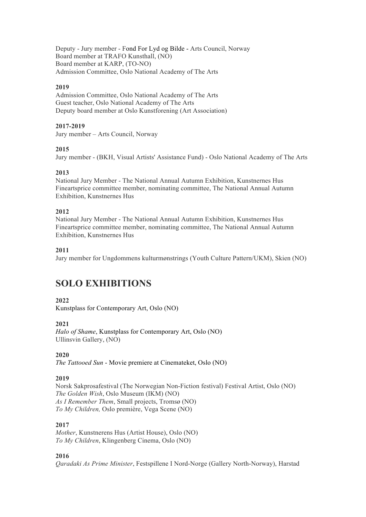Deputy - Jury member - Fond For Lyd og Bilde - Arts Council, Norway Board member at TRAFO Kunsthall, (NO) Board member at KARP, (TO-NO) Admission Committee, Oslo National Academy of The Arts

### **2019**

Admission Committee, Oslo National Academy of The Arts Guest teacher, Oslo National Academy of The Arts Deputy board member at Oslo Kunstforening (Art Association)

#### **2017-2019**

Jury member – Arts Council, Norway

#### **2015**

Jury member - (BKH, Visual Artists' Assistance Fund) - Oslo National Academy of The Arts

#### **2013**

National Jury Member - The National Annual Autumn Exhibition, Kunstnernes Hus Fineartsprice committee member, nominating committee, The National Annual Autumn Exhibition, Kunstnernes Hus

#### **2012**

National Jury Member - The National Annual Autumn Exhibition, Kunstnernes Hus Fineartsprice committee member, nominating committee, The National Annual Autumn Exhibition, Kunstnernes Hus

#### **2011**

Jury member for Ungdommens kulturmønstrings (Youth Culture Pattern/UKM), Skien (NO)

# **SOLO EXHIBITIONS**

# **2022**

Kunstplass for Contemporary Art, Oslo (NO)

# **2021**

*Halo of Shame*, Kunstplass for Contemporary Art, Oslo (NO) Ullinsvin Gallery, (NO)

#### **2020**

*The Tattooed Sun* - Movie premiere at Cinemateket, Oslo (NO)

#### **2019**

Norsk Sakprosafestival (The Norwegian Non-Fiction festival) Festival Artist, Oslo (NO) *The Golden Wish*, Oslo Museum (IKM) (NO) *As I Remember Them*, Small projects, Tromsø (NO) *To My Children,* Oslo première, Vega Scene (NO)

#### **2017**

*Mother*, Kunstnerens Hus (Artist House), Oslo (NO) *To My Children*, Klingenberg Cinema, Oslo (NO)

# **2016**

*Qaradaki As Prime Minister*, Festspillene I Nord-Norge (Gallery North-Norway), Harstad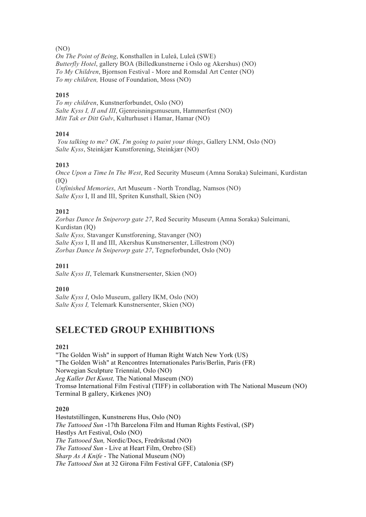#### (NO)

*On The Point of Being*, Konsthallen in Luleå, Luleå (SWE) *Butterfly Hotel*, gallery BOA (Billedkunstnerne i Oslo og Akershus) (NO) *To My Children*, Bjornson Festival - More and Romsdal Art Center (NO) *To my children,* House of Foundation, Moss (NO)

#### **2015**

*To my children*, Kunstnerforbundet, Oslo (NO) *Salte Kyss I, II and III*, Gjenreisningsmuseum, Hammerfest (NO) *Mitt Tak er Ditt Gulv*, Kulturhuset i Hamar, Hamar (NO)

#### **2014**

*You talking to me? OK, I'm going to paint your things*, Gallery LNM, Oslo (NO) *Salte Kyss*, Steinkjær Kunstforening, Steinkjær (NO)

#### **2013**

*Once Upon a Time In The West*, Red Security Museum (Amna Soraka) Suleimani, Kurdistan  $(IO)$ *Unfinished Memories*, Art Museum - North Trondlag, Namsos (NO) *Salte Kyss* I, II and III, Spriten Kunsthall, Skien (NO)

#### **2012**

*Zorbas Dance In Sniperorp gate 27*, Red Security Museum (Amna Soraka) Suleimani, Kurdistan (IQ) *Salte Kyss,* Stavanger Kunstforening, Stavanger (NO) *Salte Kyss* I, II and III, Akershus Kunstnersenter, Lillestrom (NO) *Zorbas Dance In Sniperorp gate 27*, Tegneforbundet, Oslo (NO)

#### **2011**

*Salte Kyss II*, Telemark Kunstnersenter, Skien (NO)

#### **2010**

*Salte Kyss I*, Oslo Museum, gallery IKM, Oslo (NO) *Salte Kyss I,* Telemark Kunstnersenter, Skien (NO)

# **SELECTED GROUP EXHIBITIONS**

#### **2021**

"The Golden Wish" in support of Human Right Watch New York (US) "The Golden Wish" at Rencontres Internationales Paris/Berlin, Paris (FR) Norwegian Sculpture Triennial, Oslo (NO) *Jeg Kaller Det Kunst,* The National Museum (NO) Tromsø International Film Festival (TIFF) in collaboration with The National Museum (NO) Terminal B gallery, Kirkenes )NO)

# **2020**

Høstutstillingen, Kunstnerens Hus, Oslo (NO) *The Tattooed Sun* -17th Barcelona Film and Human Rights Festival, (SP) Høstlys Art Festival, Oslo (NO) *The Tattooed Sun,* Nordic/Docs, Fredrikstad (NO) *The Tattooed Sun* - Live at Heart Film, Orebro (SE) *Sharp As A Knife* - The National Museum (NO) *The Tattooed Sun* at 32 Girona Film Festival GFF, Catalonia (SP)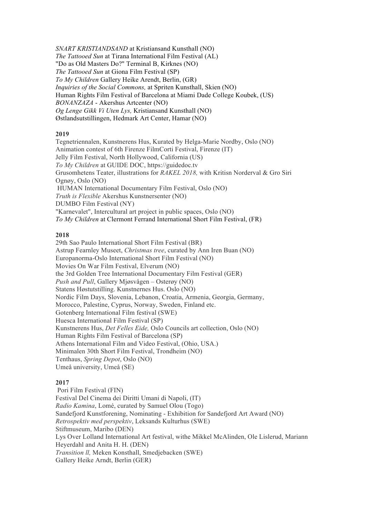*SNART KRISTIANDSAND* at Kristiansand Kunsthall (NO) *The Tattooed Sun* at Tirana International Film Festival (AL) "Do as Old Masters Do?" Terminal B, Kirknes (NO) *The Tattooed Sun* at Giona Film Festival (SP) *To My Children* Gallery Heike Arendt, Berlin, (GR) *Inquiries of the Social Commons,* at Spriten Kunsthall, Skien (NO) Human Rights Film Festival of Barcelona at Miami Dade College Koubek, (US) *BONANZAZA* - Akershus Artcenter (NO) *Og Lenge Gikk Vi Uten Lys,* Kristiansand Kunsthall (NO) Østlandsutstillingen, Hedmark Art Center, Hamar (NO)

#### **2019**

Tegnetriennalen, Kunstnerens Hus, Kurated by Helga-Marie Nordby, Oslo (NO) Animation contest of 6th Firenze FilmCorti Festival, Firenze (IT) Jelly Film Festival, North Hollywood, California (US) *To My Children* at GUIDE DOC, https://guidedoc.tv Grusomhetens Teater, illustrations for *RAKEL 2018,* with Kritisn Norderval & Gro Siri Ognøy, Oslo (NO) HUMAN International Documentary Film Festival, Oslo (NO) *Truth is Flexible* Akershus Kunstnersenter (NO) DUMBO Film Festival (NY) "Karnevalet", Intercultural art project in public spaces, Oslo (NO) *To My Children* at Clermont Ferrand International Short Film Festival, (FR)

#### **2018**

29th Sao Paulo International Short Film Festival (BR) Astrup Fearnley Museet, *Christmas tree*, curated by Ann Iren Buan (NO) Europanorma-Oslo International Short Film Festival (NO) Movies On War Film Festival, Elverum (NO) the 3rd Golden Tree International Documentary Film Festival (GER) *Push and Pull*, Gallery Mjøsvågen – Osterøy (NO) Statens Høstutstilling. Kunstnernes Hus. Oslo (NO) Nordic Film Days, Slovenia, Lebanon, Croatia, Armenia, Georgia, Germany, Morocco, Palestine, Cyprus, Norway, Sweden, Finland etc. Gotenberg International Film festival (SWE) Huesca International Film Festival (SP) Kunstnerens Hus, *Det Felles Eide,* Oslo Councils art collection, Oslo (NO) Human Rights Film Festival of Barcelona (SP) Athens International Film and Video Festival, (Ohio, USA.) Minimalen 30th Short Film Festival, Trondheim (NO) Tenthaus, *Spring Depot*, Oslo (NO) Umeå university, Umeå (SE)

# **2017**

Pori Film Festival (FIN) Festival Del Cinema dei Diritti Umani di Napoli, (IT) *Radio Kamina*, Lomé, curated by Samuel Olou (Togo) Sandefjord Kunstforening, Nominating - Exhibition for Sandefjord Art Award (NO) *Retrospektiv med perspektiv*, Leksands Kulturhus (SWE) Stiftmuseum, Maribo (DEN) Lys Over Lolland International Art festival, withe Mikkel McAlinden, Ole Lislerud, Mariann Heyerdahl and Anita H. H. (DEN) *Transition ll,* Meken Konsthall, Smedjebacken (SWE) Gallery Heike Arndt, Berlin (GER)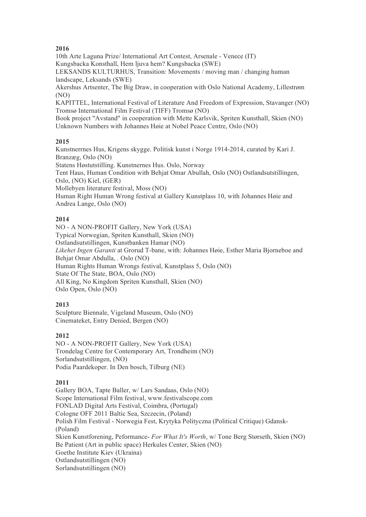# **2016**

10th Arte Laguna Prize/ International Art Contest, Arsenale - Venece (IT) Kungsbacka Konsthall, Hem ljuva hem? Kungsbacka (SWE)

LEKSANDS KULTURHUS, Transition: Movements / moving man / changing human landscape, Leksands (SWE)

Akershus Artsenter, The Big Draw, in cooperation with Oslo National Academy, Lillestrøm (NO)

KAPITTEL, International Festival of Literature And Freedom of Expression, Stavanger (NO) Tromsø International Film Festival (TIFF) Tromsø (NO)

Book project "Avstand" in cooperation with Mette Karlsvik, Spriten Kunsthall, Skien (NO) Unknown Numbers with Johannes Høie at Nobel Peace Centre, Oslo (NO)

# **2015**

Kunstnerrnes Hus, Krigens skygge. Politisk kunst i Norge 1914-2014, curated by Kari J. Branzæg, Oslo (NO)

Statens Høstutstilling. Kunstnernes Hus. Oslo, Norway

Tent Haus, Human Condition with Behjat Omar Abullah, Oslo (NO) Ostlandsutstillingen, Oslo, (NO) Kiel, (GER)

Mollebyen literature festival, Moss (NO)

Human Right Human Wrong festival at Gallery Kunstplass 10, with Johannes Høie and Andrea Lange, Oslo (NO)

# **2014**

NO - A NON-PROFIT Gallery, New York (USA) Typical Norwegian, Spriten Kunsthall, Skien (NO) Ostlandsutstillingen, Kunstbanken Hamar (NO) *Likehet Ingen Garanti* at Grorud T-bane, with: Johannes Høie, Esther Maria Bjorneboe and Behjat Omar Abdulla, . Oslo (NO) Human Rights Human Wrongs festival, Kunstplass 5, Oslo (NO) State Of The State, BOA, Oslo (NO) All King, No Kingdom Spriten Kunsthall, Skien (NO) Oslo Open, Oslo (NO)

# **2013**

Sculpture Biennale, Vigeland Museum, Oslo (NO) Cinemateket, Entry Denied, Bergen (NO)

# **2012**

NO - A NON-PROFIT Gallery, New York (USA) Trondelag Centre for Contemporary Art, Trondheim (NO) Sorlandsutstillingen, (NO) Podia Paardekoper. In Den bosch, Tilburg (NE)

# **2011**

Gallery BOA, Tapte Baller, w/ Lars Sandaas, Oslo (NO) Scope International Film festival, www.festivalscope.com FONLAD Digital Arts Festival, Coimbra, (Portugal) Cologne OFF 2011 Baltic Sea, Szczecin, (Poland) Polish Film Festival - Norwegia Fest, Krytyka Polityczna (Political Critique) Gdansk- (Poland) Skien Kunstforening, Peformance- *For What It's Worth*, w/ Tone Berg Størseth, Skien (NO) Be Patient (Art in public space) Herkules Center, Skien (NO) Goethe Institute Kiev (Ukraina) Ostlandsutstillingen (NO) Sorlandsutstillingen (NO)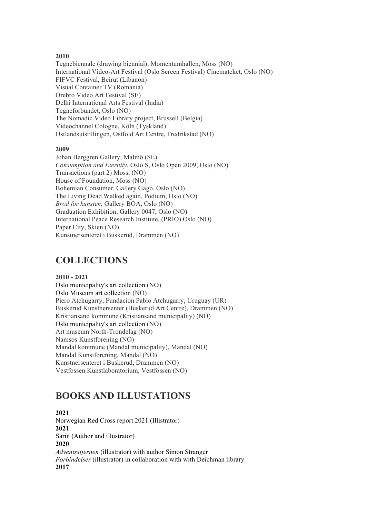#### **2010**

Tegnebiennale (drawing biennial), Momentumhallen, Moss (NO) International Video-Art Festival (Oslo Screen Festival) Cinemateket, Oslo (NO) FIFVC Festival, Beirut (Libanon) Visual Container TV (Romania) Örebro Video Art Festival (SE) Delhi International Arts Festival (India) Tegneforbundet, Oslo (NO) The Nomadic Video Library project, Brussell (Belgia) Videochannel Cologne, Köln (Tyskland) Ostlandsutstillingen, Ostfold Art Centre, Fredrikstad (NO)

#### **2009**

Johan Berggren Gallery, Malmö (SE) *Consumption and Eternity*, Oslo S, Oslo Open 2009, Oslo (NO) Transactions (part 2) Moss, (NO) House of Foundation, Moss (NO) Bohemian Consumer, Gallery Gago, Oslo (NO) The Living Dead Walked again, Podium, Oslo (NO) *Brod for kunsten*, Gallery BOA, Oslo (NO) Graduation Exhibition, Gallery 0047, Oslo (NO) International Peace Research Institute, (PRIO) Oslo (NO) Paper City, Skien (NO) Kunstnersenteret i Buskerud, Drammen (NO)

# **COLLECTIONS**

#### **2010 - 2021**

Oslo municipality's art collection (NO) Oslo Museum art collection (NO) Piero Atchugarry, Fundacion Pablo Atchugarry, Uruguay (UR) Buskerud Kunstnersenter (Buskerud Art Centre), Drammen (NO) Kristiansand kommune (Kristiansand municipality) (NO) Oslo municipality's art collection (NO) Art museum North-Trondelag (NO) Namsos Kunstforening (NO) Mandal kommune (Mandal municipality), Mandal (NO) Mandal Kunstforening, Mandal (NO) Kunstnersenteret i Buskerud, Drammen (NO) Vestfossen Kunstlaboratorium, Vestfossen (NO)

# **BOOKS AND ILLUSTATIONS**

**2021** Norwegian Red Cross report 2021 (Illistrator) **2021** Sarin (Author and illustrator) **2020** *Adventsstjernen* (illustrator) with author Simon Stranger *Forbindelser* (illustrator) in collaboration with with Deichman library **2017**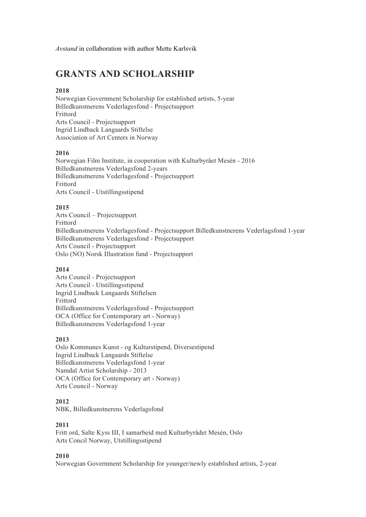*Avstand* in collaboration with author Mette Karlsvik

# **GRANTS AND SCHOLARSHIP**

# **2018**

Norwegian Government Scholarship for established artists, 5-year Billedkunstnerens Vederlagesfond - Projectsupport Frittord Arts Council - Projectsupport Ingrid Lindback Langaards Stiftelse Association of Art Centers in Norway

#### **2016**

Norwegian Film Institute, in cooperation with Kulturbyrået Mesén - 2016 Billedkunstnerens Vederlagsfond 2-years Billedkunstnerens Vederlagesfond - Projectsupport Frittord Arts Council - Utstillingsstipend

#### **2015**

Arts Council – Projectsupport Frittord Billedkunstnerens Vederlagesfond - Projectsupport Billedkunstnerens Vederlagsfond 1-year Billedkunstnerens Vederlagesfond - Projectsupport Arts Council - Projectsupport Oslo (NO) Norsk Illustration fund - Projectsupport

#### **2014**

Arts Council - Projectsupport Arts Council - Utstillingsstipend Ingrid Lindback Langaards Stiftelsen Frittord Billedkunstnerens Vederlagesfond - Projectsupport OCA (Office for Contemporary art - Norway) Billedkunstnerens Vederlagsfond 1-year

#### **2013**

Oslo Kommunes Kunst - og Kulturstipend, Diversestipend Ingrid Lindback Langaards Stiftelse Billedkunstnerens Vederlagsfond 1-year Namdal Artist Scholarship - 2013 OCA (Office for Contemporary art - Norway) Arts Council - Norway

#### **2012**

NBK, Billedkunstnerens Vederlagsfond

#### **2011**

Fritt ord, Salte Kyss III, I samarbeid med Kulturbyrådet Mesèn, Oslo Arts Concil Norway, Utstillingsstipend

#### **2010**

Norwegian Government Scholarship for younger/newly established artists, 2-year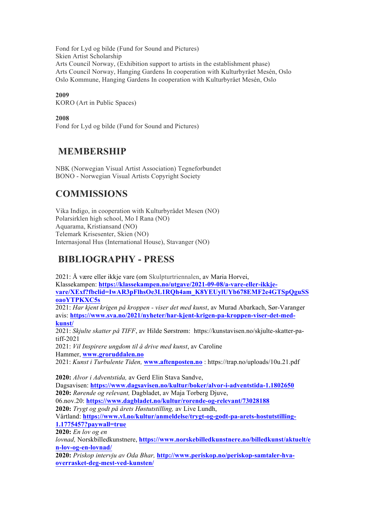Fond for Lyd og bilde (Fund for Sound and Pictures) Skien Artist Scholarship Arts Council Norway, (Exhibition support to artists in the establishment phase) Arts Council Norway, Hanging Gardens In cooperation with Kulturbyrået Mesén, Oslo Oslo Kommune, Hanging Gardens In cooperation with Kulturbyrået Mesén, Oslo

# **2009**

KORO (Art in Public Spaces)

# **2008**

Fond for Lyd og bilde (Fund for Sound and Pictures)

# **MEMBERSHIP**

NBK (Norwegian Visual Artist Association) Tegneforbundet BONO - Norwegian Visual Artists Copyright Society

# **COMMISSIONS**

Vika Indigo, in cooperation with Kulturbyrådet Mesen (NO) Polarsirklen high school, Mo I Rana (NO) Aquarama, Kristiansand (NO) Telemark Krisesenter, Skien (NO) Internasjonal Hus (International House), Stavanger (NO)

# **BIBLIOGRAPHY - PRESS**

2021: Å være eller ikkje vare (om Skulpturtriennalen, av Maria Horvei, Klassekampen: **https://klassekampen.no/utgave/2021-09-08/a-vare-eller-ikkjevare/XExf?fbclid=IwAR3pFlhsOe3L1RQh4am\_K8YEUylUYb678EMF2e4GTSpQguSS oaoYTPKXC5s** 2021: *Har kjent krigen på kroppen - viser det med kunst*, av Murad Abarkach, Sør-Varanger avis: **https://www.sva.no/2021/nyheter/har-kjent-krigen-pa-kroppen-viser-det-medkunst/**

2021: *Skjulte skatter på TIFF*, av Hilde Sørstrøm: https://kunstavisen.no/skjulte-skatter-patiff-2021

2021: *Vil Inspirere ungdom til å drive med kunst*, av Caroline Hammer, **www.groruddalen.no**

2021: *Kunst i Turbulente Tiden,* **www.aftenposten.no** : https://trap.no/uploads/10u.21.pdf

**2020:** *Alvor i Adventstida,* av Gerd Elin Stava Sandve, Dagsavisen: **https://www.dagsavisen.no/kultur/boker/alvor-i-adventstida-1.1802650 2020:** *Rørende og relevant,* Dagbladet, av Maja Torberg Djuve, 06.nov.20: **https://www.dagbladet.no/kultur/rorende-og-relevant/73028188 2020:** *Trygt og godt på årets Høstutstilling,* av Live Lundh, Vårtland: **https://www.vl.no/kultur/anmeldelse/trygt-og-godt-pa-arets-hostutstilling-1.1775457?paywall=true 2020:** *En lov og en lovnad,* Norskbilledkunstnere, **https://www.norskebilledkunstnere.no/billedkunst/aktuelt/e n-lov-og-en-lovnad/**

**2020:** *Priskop intervju av Oda Bhar,* **http://www.periskop.no/periskop-samtaler-hvaoverrasket-deg-mest-ved-kunsten/**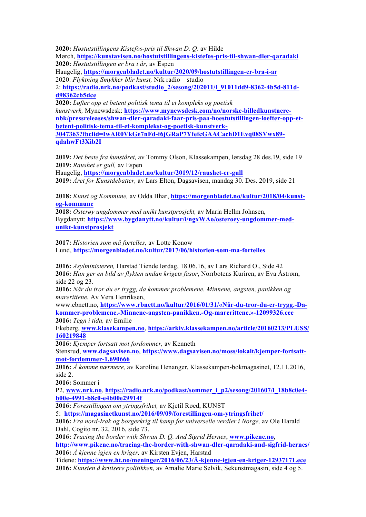**2020:** *Høstutstillingens Kistefos-pris til Shwan D. Q*. av Hilde

Mørch, **https://kunstavisen.no/hostutstillingens-kistefos-pris-til-shwan-dler-qaradaki 2020:** *Høstutstillingen er bra i år,* av Espen

Haugelig, **https://morgenbladet.no/kultur/2020/09/hostutstillingen-er-bra-i-ar**

2020: *Flyktning Smykker blir kunst,* Nrk radio – studio

2: **https://radio.nrk.no/podkast/studio\_2/sesong/202011/l\_91011dd9-8362-4b5d-811dd98362cb5dce**

**2020:** *Løfter opp et betent politisk tema til et kompleks og poetisk kunstverk,* Mynewsdesk: **https://www.mynewsdesk.com/no/norske-billedkunstnerenbk/pressreleases/shwan-dler-qaradaki-faar-pris-paa-hoestutstillingen-loefter-opp-etbetent-politisk-tema-til-et-komplekst-og-poetisk-kunstverk-3047363?fbclid=IwAR0VkGe7nFd-f6jGRaP7YfefcGAACachD1Evq08SVwx89-**

**qdahwFt3Xib2I**

**2019:** *Det beste fra kunståret,* av Tommy Olson, Klassekampen, lørsdag 28 des.19, side 19 **2019:** *Raushet er gull,* av Espen

Haugelig, **https://morgenbladet.no/kultur/2019/12/raushet-er-gull 2019:** *Året for Kunstdebatter,* av Lars Elton, Dagsavisen, mandag 30. Des. 2019, side 21

**2018:** *Kunst og Kommune,* av Odda Bhar, **https://morgenbladet.no/kultur/2018/04/kunstog-kommune**

**2018:** *Osterøy ungdommer med unikt kunstprosjekt,* av Maria Hellm Johnsen, Bygdanytt: **https://www.bygdanytt.no/kultur/i/ngxWAo/osteroey-ungdommer-medunikt-kunstprosjekt**

**2017:** *Historien som må fortelles,* av Lotte Konow Lund, **https://morgenbladet.no/kultur/2017/06/historien-som-ma-fortelles**

**2016:** *Asylministeren,* Harstad Tiende lørdag, 18.06.16, av Lars Richard O., Side 42 **2016:** *Han ger en bild av flykten undan krigets fasor*, Norrbotens Kuriren, av Eva Åstrøm, side 22 og 23.

**2016:** *Når du tror du er trygg, da kommer problemene. Minnene, angsten, panikken og marerittene.* Av Vera Henriksen,

www.ebnett.no, **https://www.rbnett.no/kultur/2016/01/31/«Når-du-tror-du-er-trygg.-Dakommer-problemene.-Minnene-angsten-panikken.-Og-marerittene.»-12099326.ece 2016:** *Tegn i tida,* av Emilie

Ekeberg, **www.klasekampen.no**, **https://arkiv.klassekampen.no/article/20160213/PLUSS/ 160219848**

**2016:** *Kjemper fortsatt mot fordommer,* av Kenneth

Stensrud, **www.dagsavisen.no**, **https://www.dagsavisen.no/moss/lokalt/kjemper-fortsattmot-fordommer-1.690666**

**2016:** *Å komme nærmere,* av Karoline Henanger, Klassekampen-bokmagasinet, 12.11.2016, side 2.

**2016:** Sommer i

P2, **www.nrk.no**, **https://radio.nrk.no/podkast/sommer\_i\_p2/sesong/201607/l\_18b8c0e4 b00e-4991-b8c0-e4b00e29914f**

**2016:** *Forestillingen om ytringsfrihet,* av Kjetil Røed, KUNST

5: **https://magasinetkunst.no/2016/09/09/forestillingen-om-ytringsfrihet/**

**2016:** *Fra nord-Irak og borgerkrig til kamp for universelle verdier i Norge,* av Ole Harald Dahl, Cogito nr. 32, 2016, side 73.

**2016:** *Tracing the border with Shwan D. Q. And Sigrid Hernes*, **www.pikene.no**,

**http://www.pikene.no/tracing-the-border-with-shwan-dler-qaradaki-and-sigfrid-hernes/ 2016:** *Å kjenne igjen en kriger,* av Kirsten Evjen, Harstad

Tidene: **https://www.ht.no/meninger/2016/06/23/Å-kjenne-igjen-en-kriger-12937171.ece 2016:** *Kunsten å kritisere politikken,* av Amalie Marie Selvik, Sekunstmagasin, side 4 og 5.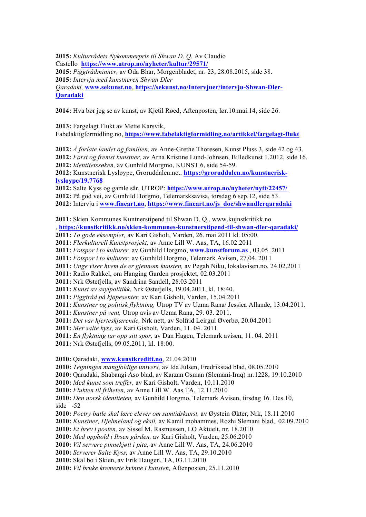**2015:** *Kulturrådets Nykommerpris til Shwan D. Q.* Av Claudio Castello **https://www.utrop.no/nyheter/kultur/29571/ 2015:** *Piggtrådminner,* av Oda Bhar, Morgenbladet, nr. 23, 28.08.2015, side 38. **2015:** *Intervju med kunstneren Shwan Dler Qaradaki,* **www.sekunst.no**, **https://sekunst.no/Intervjuer/intervju-Shwan-Dler-Qaradaki**

**2014:** Hva bør jeg se av kunst, av Kjetil Røed, Aftenposten, lør.10.mai.14, side 26.

**2013:** Fargelagt Flukt av Mette Karsvik,

Fabelaktigformidling.no, **https://www.fabelaktigformidling.no/artikkel/fargelagt-flukt**

**2012:** *Å forlate landet og familien,* av Anne-Grethe Thoresen, Kunst Pluss 3, side 42 og 43. **2012:** *Først og fremst kunstner,* av Arna Kristine Lund-Johnsen, Billedkunst 1.2012, side 16. **2012:** *Identitetssøken,* av Gunhild Morgmo, KUNST 6, side 54-59.

**2012:** Kunstnerisk Lysløype, Groruddalen.no.. **https://groruddalen.no/kunstnerisklysloype/19.7768**

**2012:** Salte Kyss og gamle sår, UTROP: **https://www.utrop.no/nyheter/nytt/22457/**

**2012:** På god vei, av Gunhild Horgmo, Telemarsksavisa, torsdag 6 sep.12, side 53.

**2012:** Intervju i **www.fineart.no**, **https://www.fineart.no/js\_doc/shwandlerqaradaki**

**2011:** Skien Kommunes Kuntnerstipend til Shwan D. Q., www.kujnstkritikk.no

, **https://kunstkritikk.no/skien-kommunes-kunstnerstipend-til-shwan-dler-qaradaki/**

**2011:** *To gode eksempler,* av Kari Gisholt, Varden, 26. mai 2011 kl. 05:00.

**2011:** *Flerkulturell Kunstprosjekt,* av Anne Lill W. Aas, TA, 16.02.2011

**2011:** *Fotspor i to kulturer,* av Gunhild Horgmo, **www.kunstforum.as** , 03.05. 2011

**2011:** *Fotspor i to kulturer,* av Gunhild Horgmo, Telemark Avisen, 27.04. 2011

**2011:** *Unge viser hvem de er gjennom kunsten,* av Pegah Niku, lokalavisen.no, 24.02.2011

**2011:** Radio Rakkel, om Hanging Garden prosjektet, 02.03.2011

**2011:** Nrk Østefjells, av Sandrina Sandell, 28.03.2011

**2011:** *Kunst av asylpolitikk*, Nrk Østefjells, 19.04.2011, kl. 18:40.

**2011:** *Piggtråd på kjøpesenter,* av Kari Gisholt, Varden, 15.04.2011

**2011:** *Kunstner og politisk flyktning,* Utrop TV av Uzma Rana/ Jessica Allande, 13.04.2011.

**2011:** *Kunstner på vent,* Utrop avis av Uzma Rana, 29. 03. 2011.

**2011:** *Det var hjerteskjærende,* Nrk nett, av Solfrid Leirgul Øverbø, 20.04.2011

**2011:** *Mer salte kyss,* av Kari Gisholt, Varden, 11. 04. 2011

**2011:** *En flyktning tar opp sitt spor,* av Dan Hagen, Telemark avisen, 11. 04. 2011

**2011:** Nrk Østefjells, 09.05.2011, kl. 18:00.

**2010:** Qaradaki, **www.kunstkreditt.no**, 21.04.2010

**2010:** *Tegningen mangfoldige univers,* av Ida Julsen, Fredrikstad blad, 08.05.2010

**2010:** Qaradaki, Shabangi Aso blad, av Karzan Osman (Slemani-Iraq) nr.1228, 19.10.2010

**2010:** *Med kunst som treffer,* av Kari Gisholt, Varden, 10.11.2010

**2010:** *Flukten til friheten,* av Anne Lill W. Aas TA, 12.11.2010

**2010:** *Den norsk identiteten,* av Gunhild Horgmo, Telemark Avisen, tirsdag 16. Des.10, side -52

**2010:** *Poetry batle skal lære elever om samtidskunst,* av Øystein Økter, Nrk, 18.11.2010

**2010:** *Kunstner, Hjelmeland og eksil,* av Kamil mohammes, Rozhi Slemani blad, 02.09.2010

**2010:** *Et brev i posten,* av Sissel M. Rasmussen, LO Aktuelt, nr. 18.2010

**2010:** *Med opphold i Ibsen gården,* av Kari Gisholt, Varden, 25.06.2010

**2010:** *Vil servere pinnekjøtt i pita,* av Anne Lill W. Aas, TA, 24.06.2010

**2010:** *Serverer Salte Kyss,* av Anne Lill W. Aas, TA, 29.10.2010

**2010:** Skal bo i Skien, av Erik Haugen, TA, 03.11.2010

**2010:** *Vil bruke kremerte kvinne i kunsten,* Aftenposten, 25.11.2010